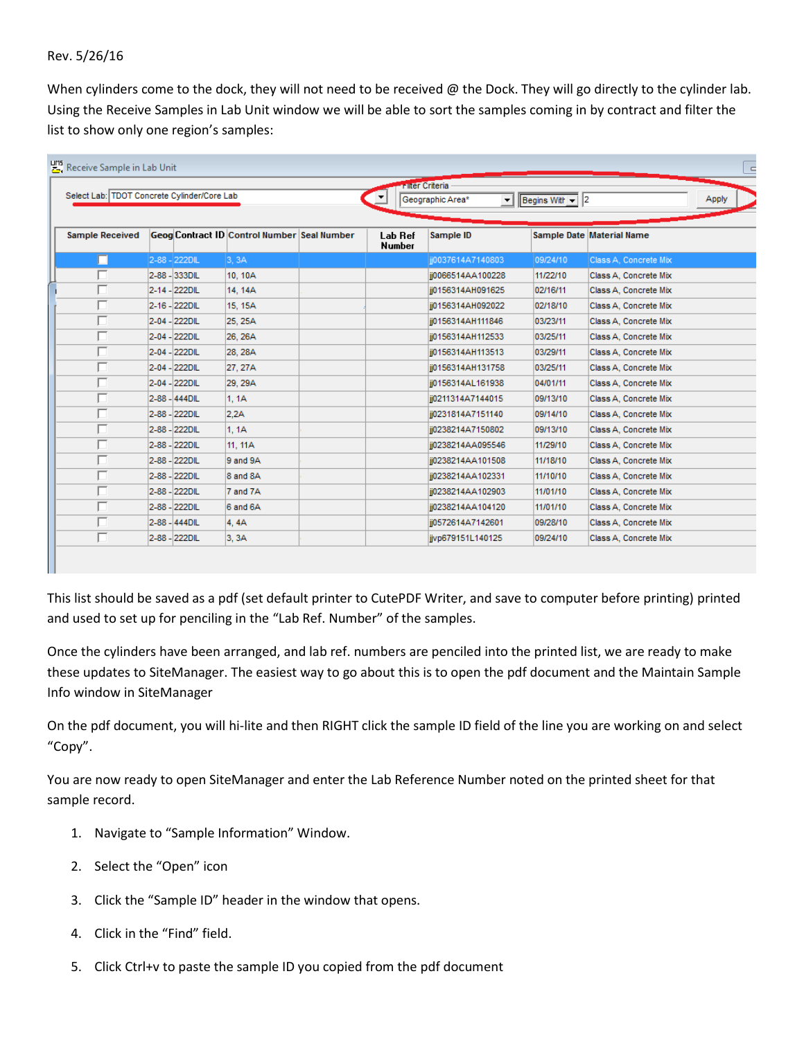## Rev. 5/26/16

Ш

When cylinders come to the dock, they will not need to be received @ the Dock. They will go directly to the cylinder lab. Using the Receive Samples in Lab Unit window we will be able to sort the samples coming in by contract and filter the list to show only one region's samples:

|                                             |               |                                             |   |                          | <b>Fliter Criteria</b>           |                              |                                  |       |
|---------------------------------------------|---------------|---------------------------------------------|---|--------------------------|----------------------------------|------------------------------|----------------------------------|-------|
| Select Lab: TDOT Concrete Cylinder/Core Lab |               |                                             | ▼ |                          | Geographic Area*<br>$\mathbf{r}$ | Begins With $\overline{z}$ 2 |                                  | Apply |
|                                             |               |                                             |   |                          |                                  |                              |                                  |       |
| <b>Sample Received</b>                      |               | Geog Contract ID Control Number Seal Number |   | Lab Ref<br><b>Number</b> | Sample ID                        |                              | <b>Sample Date Material Name</b> |       |
| П                                           | 2-88 - 222DIL | 3.3A                                        |   |                          | jj0037614A7140803                | 09/24/10                     | Class A. Concrete Mix            |       |
| П                                           | 2-88 - 333DIL | 10, 10A                                     |   |                          | ii0066514AA100228                | 11/22/10                     | Class A, Concrete Mix            |       |
|                                             | 2-14 - 222DIL | 14, 14A                                     |   |                          | ii0156314AH091625                | 02/16/11                     | Class A. Concrete Mix            |       |
| П                                           | 2-16 - 222DIL | 15, 15A                                     |   |                          | ii0156314AH092022                | 02/18/10                     | Class A, Concrete Mix            |       |
| г                                           | 2-04 - 222DIL | 25, 25A                                     |   |                          | ii0156314AH111846                | 03/23/11                     | Class A, Concrete Mix            |       |
| г                                           | 2-04 - 222DIL | 26, 26A                                     |   |                          | ii0156314AH112533                | 03/25/11                     | Class A, Concrete Mix            |       |
| П                                           | 2-04 - 222DIL | 28, 28A                                     |   |                          | ij0156314AH113513                | 03/29/11                     | Class A, Concrete Mix            |       |
| П                                           | 2-04 - 222DIL | 27, 27A                                     |   |                          | ii0156314AH131758                | 03/25/11                     | Class A. Concrete Mix            |       |
| г                                           | 2-04 - 222DIL | 29, 29A                                     |   |                          | ij0156314AL161938                | 04/01/11                     | Class A, Concrete Mix            |       |
| г                                           | 2-88 - 444DIL | 1, 1A                                       |   |                          | ii0211314A7144015                | 09/13/10                     | Class A. Concrete Mix            |       |
| П                                           | 2-88 - 222DIL | 2.2A                                        |   |                          | ii0231814A7151140                | 09/14/10                     | Class A, Concrete Mix            |       |
| г                                           | 2-88 - 222DIL | 1.1A                                        |   |                          | ii0238214A7150802                | 09/13/10                     | Class A. Concrete Mix            |       |
| г                                           | 2-88 - 222DIL | 11, 11A                                     |   |                          | jj0238214AA095546                | 11/29/10                     | Class A, Concrete Mix            |       |
| г                                           | 2-88 - 222DIL | 9 and 9A                                    |   |                          | jj0238214AA101508                | 11/18/10                     | Class A. Concrete Mix            |       |
| г                                           | 2-88 - 222DIL | 8 and 8A                                    |   |                          | ii0238214AA102331                | 11/10/10                     | Class A, Concrete Mix            |       |
|                                             | 2-88 - 222DIL | 7 and 7A                                    |   |                          | ii0238214AA102903                | 11/01/10                     | Class A. Concrete Mix            |       |
| г                                           | 2-88 - 222DIL | 6 and 6A                                    |   |                          | ij0238214AA104120                | 11/01/10                     | Class A, Concrete Mix            |       |
| П                                           | 2-88 - 444DIL | 4, 4A                                       |   |                          | ii0572614A7142601                | 09/28/10                     | Class A. Concrete Mix            |       |
|                                             | 2-88 - 222DIL | 3, 3A                                       |   |                          | jivp679151L140125                | 09/24/10                     | Class A, Concrete Mix            |       |

This list should be saved as a pdf (set default printer to CutePDF Writer, and save to computer before printing) printed and used to set up for penciling in the "Lab Ref. Number" of the samples.

Once the cylinders have been arranged, and lab ref. numbers are penciled into the printed list, we are ready to make these updates to SiteManager. The easiest way to go about this is to open the pdf document and the Maintain Sample Info window in SiteManager

On the pdf document, you will hi-lite and then RIGHT click the sample ID field of the line you are working on and select "Copy".

You are now ready to open SiteManager and enter the Lab Reference Number noted on the printed sheet for that sample record.

- 1. Navigate to "Sample Information" Window.
- 2. Select the "Open" icon
- 3. Click the "Sample ID" header in the window that opens.
- 4. Click in the "Find" field.
- 5. Click Ctrl+v to paste the sample ID you copied from the pdf document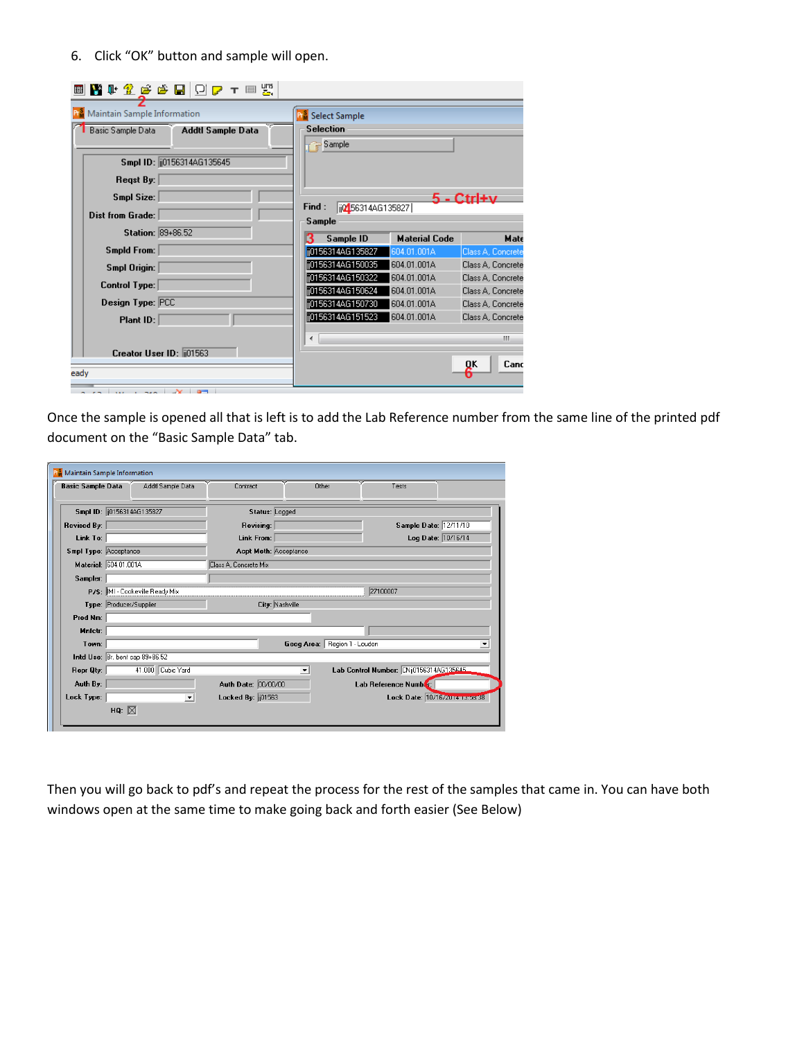6. Click "OK" button and sample will open.

| Maintain Sample Information<br>Basic Sample Data<br>Addtl Sample Data<br>Smpl ID: (i0156314AG135645)<br>Regst By:                                                                                                                                                       | <b>PM</b> Select Sample<br><b>Selection</b><br>Sample                                                                                                                                                                 |                                                                                                                            |
|-------------------------------------------------------------------------------------------------------------------------------------------------------------------------------------------------------------------------------------------------------------------------|-----------------------------------------------------------------------------------------------------------------------------------------------------------------------------------------------------------------------|----------------------------------------------------------------------------------------------------------------------------|
| <b>Smpl Size:</b><br><b>Dist from Grade:</b><br>Station: 89+86.52                                                                                                                                                                                                       | ii0156314AG135827<br>Find:<br>Sample<br>Sample ID<br><b>Material Code</b>                                                                                                                                             | $5 - \text{Ctrl+}v$<br>Mate                                                                                                |
| <b>Smpld From:</b><br><b>Smpl Origin:</b><br>Control Type:<br>Design Type: PCC<br>Plant ID:                                                                                                                                                                             | ii0156314AG135827<br>604.01.001A<br>ij0156314AG150035<br>604.01.001A<br>jj0156314AG150322<br>604.01.001A<br> ii0156314AG150624<br>604.01.001A<br>ii0156314AG150730<br>604.01.001A<br>  0156314AG151523<br>604.01.001A | Class A, Concrete<br>Class A. Concrete<br>Class A. Concrete<br>Class A. Concrete<br>Class A. Concrete<br>Class A. Concrete |
| Creator User ID: 001563<br>eady<br><u>the first contract the Marian Book of the Marian Book of the State of the State of the State of the State of the State of the State of the State of the State of the State of the State of the State of the State of the Stat</u> | ∢                                                                                                                                                                                                                     | Ш<br>6 <sup>K</sup><br>Canc                                                                                                |

Once the sample is opened all that is left is to add the Lab Reference number from the same line of the printed pdf document on the "Basic Sample Data" tab.

|                              |                                 | Addtl Sample Data    | Contract              |                      | Other                        | Tests                                   |  |  |  |  |
|------------------------------|---------------------------------|----------------------|-----------------------|----------------------|------------------------------|-----------------------------------------|--|--|--|--|
|                              | Smpl ID: (0156314AG135827)      |                      | Status: Logged        |                      |                              |                                         |  |  |  |  |
| <b>Revised By:</b>           |                                 |                      | Revising:             |                      |                              | Sample Date: 12/11/10                   |  |  |  |  |
| Link To:                     |                                 |                      | Link From:            |                      |                              | Log Date: 10/16/14                      |  |  |  |  |
| <b>Smpl Type: Acceptance</b> |                                 |                      | Acpt Meth: Acceptance |                      |                              |                                         |  |  |  |  |
| Material: 604.01.001A        |                                 |                      | Class A, Concrete Mix |                      |                              |                                         |  |  |  |  |
| Sampler:                     |                                 |                      |                       |                      |                              |                                         |  |  |  |  |
|                              | P/S: MI - Cookeville Ready Mix  |                      |                       |                      |                              | 27100007                                |  |  |  |  |
|                              | Type: Producer/Supplier         |                      |                       | City: Nashville      |                              |                                         |  |  |  |  |
| Prod Nm:                     |                                 |                      |                       |                      |                              |                                         |  |  |  |  |
| Mnfctr:                      |                                 |                      |                       |                      |                              |                                         |  |  |  |  |
| Town:                        |                                 |                      |                       |                      | Geog Area: Region 1 - Loudon |                                         |  |  |  |  |
|                              | Intd Use: Br. bent cap 89+86.52 |                      |                       |                      |                              |                                         |  |  |  |  |
| Repr Qty:                    |                                 | 41.000 Cubic Yard    |                       | $\blacktriangledown$ |                              | Lab Control Number: CNij0156314AG135645 |  |  |  |  |
| Auth By:                     |                                 |                      | Auth Date: 00/00/00   |                      |                              | Lab Reference Number:                   |  |  |  |  |
| Lock Type:                   |                                 | $\blacktriangledown$ | Locked By: [01563]    |                      |                              | Lock Date: 10/16/2014 13:58:38          |  |  |  |  |

Then you will go back to pdf's and repeat the process for the rest of the samples that came in. You can have both windows open at the same time to make going back and forth easier (See Below)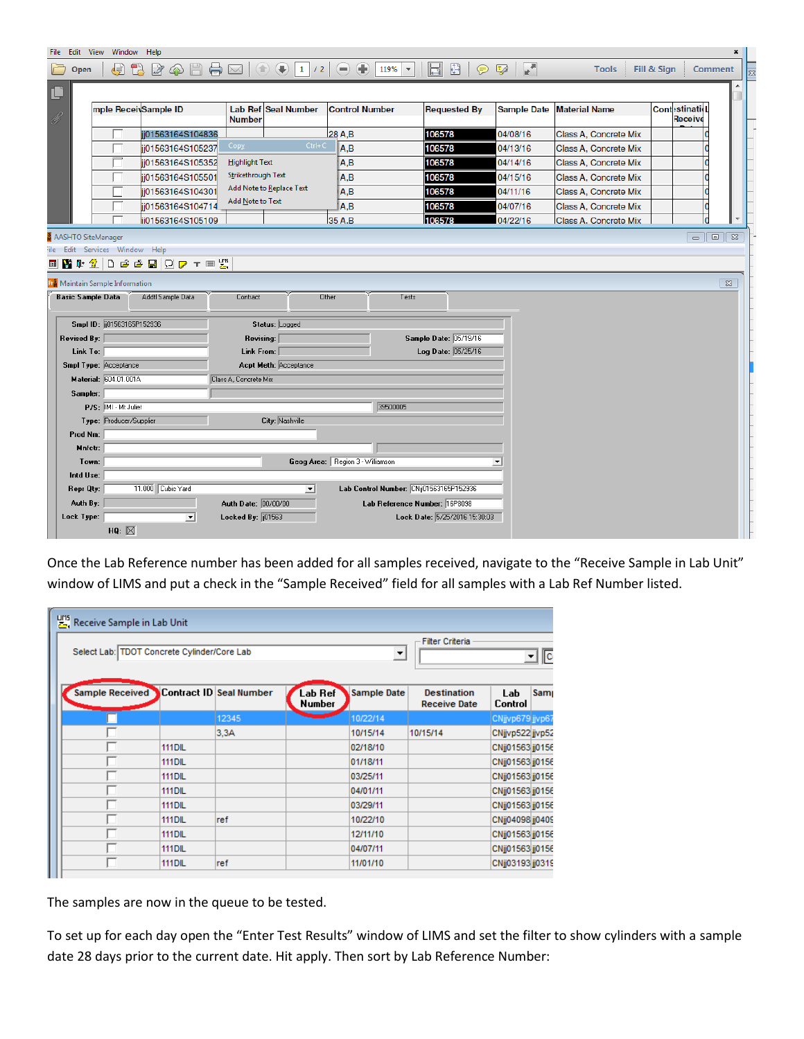| Open                   | 偵                                              | 它<br>$\Leftrightarrow$<br>$\mathbb{Z}$<br>$\bigcirc$ | $\bowtie$                                              | $\circ$<br>$^{\circledR}$<br>$\vert 1 \vert$<br>/2 | $\bigoplus$<br>$\left($ $\right)$<br>119%<br>$\overline{\mathbf v}$ | ⊕<br>$\bigoplus$<br>同                                          | P.<br>$\frac{1}{2}$  | <b>Tools</b>          | Fill & Sign<br>Comment          |  |
|------------------------|------------------------------------------------|------------------------------------------------------|--------------------------------------------------------|----------------------------------------------------|---------------------------------------------------------------------|----------------------------------------------------------------|----------------------|-----------------------|---------------------------------|--|
|                        |                                                |                                                      |                                                        |                                                    |                                                                     |                                                                |                      |                       |                                 |  |
|                        |                                                | mple ReceivSample ID                                 | <b>Number</b>                                          | Lab Ref Seal Number                                | <b>Control Number</b>                                               | <b>Requested By</b>                                            | <b>Sample Date</b>   | <b>Material Name</b>  | <b>Cont</b> stinatio<br>Receive |  |
|                        |                                                | ii01563164S104836                                    |                                                        |                                                    | 28 A,B                                                              | 106578                                                         | 04/08/16             | Class A, Concrete Mix |                                 |  |
|                        |                                                | i01563164S105237                                     | Copy                                                   | $Ctrl + C$                                         | A,B                                                                 | 106578                                                         | 04/13/16             | Class A, Concrete Mix |                                 |  |
|                        |                                                | ii01563164S105352                                    | <b>Highlight Text</b>                                  |                                                    | A,B                                                                 | 106578                                                         | 04/14/16             | Class A. Concrete Mix |                                 |  |
|                        |                                                | ii01563164S105501                                    | Strikethrough Text                                     |                                                    | A, B                                                                | 106578                                                         | 04/15/16             | Class A, Concrete Mix |                                 |  |
|                        |                                                | ii01563164S104301                                    |                                                        | Add Note to Replace Text                           | A,B                                                                 | 106578                                                         | 04/11/16             | Class A. Concrete Mix |                                 |  |
|                        |                                                | ii01563164S104714                                    | Add Note to Text                                       |                                                    | A, B                                                                | 106578                                                         | 04/07/16             | Class A, Concrete Mix |                                 |  |
|                        |                                                | ii01563164S105109                                    |                                                        |                                                    | 35 A.B                                                              | 106578                                                         | 04/22/16             | Class A. Concrete Mix |                                 |  |
|                        |                                                | Addtl Sample Data                                    | Contract                                               |                                                    | Other<br>Tests                                                      |                                                                |                      |                       |                                 |  |
|                        | Smpl ID: 01563165P152936                       |                                                      |                                                        | Status: Logged                                     |                                                                     |                                                                |                      |                       |                                 |  |
| Revised By:            |                                                |                                                      | Revising:                                              |                                                    |                                                                     | Sample Date: 05/19/16                                          |                      |                       |                                 |  |
| Link To:               |                                                |                                                      | Link From:                                             |                                                    |                                                                     | Log Date: 05/25/16                                             |                      |                       |                                 |  |
|                        | Smpl Type: Acceptance                          |                                                      |                                                        | <b>Acpt Meth: Acceptance</b>                       |                                                                     |                                                                |                      |                       |                                 |  |
|                        | <b>Material: 604.01.001A</b>                   |                                                      | Class A. Concrete Mix                                  |                                                    |                                                                     |                                                                |                      |                       |                                 |  |
| Sampler:               |                                                |                                                      |                                                        |                                                    |                                                                     |                                                                |                      |                       |                                 |  |
|                        | P/S: MI - Mt Juliet<br>Type: Producer/Supplier |                                                      |                                                        | City: Nashville                                    | 39500005                                                            |                                                                |                      |                       |                                 |  |
|                        |                                                |                                                      |                                                        |                                                    |                                                                     |                                                                |                      |                       |                                 |  |
| Prod Nm:<br>Mnfctr:    |                                                |                                                      |                                                        |                                                    |                                                                     |                                                                |                      |                       |                                 |  |
| Town:                  |                                                |                                                      |                                                        |                                                    | Geog Area: Region 3 - Williamson                                    |                                                                | $\blacktriangledown$ |                       |                                 |  |
| Intd Use:              |                                                |                                                      |                                                        |                                                    |                                                                     |                                                                |                      |                       |                                 |  |
| Repr Qty:              |                                                | 11.000 Cubic Yard                                    |                                                        | $\blacktriangledown$                               | Lab Control Number: CNij01563165P152936                             |                                                                |                      |                       |                                 |  |
| Auth By:<br>Lock Type: |                                                |                                                      | Auth Date: 00/00/00<br>Locked By: $\overline{[01563]}$ |                                                    |                                                                     | Lab Reference Number: 16P8098<br>Lock Date: 5/25/2016 15:30:03 |                      |                       |                                 |  |

Once the Lab Reference number has been added for all samples received, navigate to the "Receive Sample in Lab Unit" window of LIMS and put a check in the "Sample Received" field for all samples with a Lab Ref Number listed.

| <b>LITE</b> , Receive Sample in Lab Unit    |               |       |                                      |                    |                                           |                  |     |  |  |
|---------------------------------------------|---------------|-------|--------------------------------------|--------------------|-------------------------------------------|------------------|-----|--|--|
| Select Lab: TDOT Concrete Cylinder/Core Lab |               |       | <b>Filter Criteria</b><br>ज   ⊙<br>≛ |                    |                                           |                  |     |  |  |
| Sample Received Contract ID Seal Number     |               |       | Lab Ref<br>Number                    | <b>Sample Date</b> | <b>Destination</b><br><b>Receive Date</b> | Lab<br>Control   | Sam |  |  |
|                                             |               | 12345 |                                      | 10/22/14           |                                           | CNjjvp679 jjvp67 |     |  |  |
|                                             |               | 3.3A  |                                      | 10/15/14           | 10/15/14                                  | CNjjvp522 jjvp52 |     |  |  |
|                                             | <b>111DIL</b> |       |                                      | 02/18/10           |                                           | CNij01563 jj0156 |     |  |  |
|                                             | <b>111DIL</b> |       |                                      | 01/18/11           |                                           | CNij01563 jj0156 |     |  |  |
|                                             | <b>111DIL</b> |       |                                      | 03/25/11           |                                           | CNjj01563 jj0156 |     |  |  |
|                                             | <b>111DIL</b> |       |                                      | 04/01/11           |                                           | CNij01563 jj0156 |     |  |  |
|                                             | <b>111DIL</b> |       |                                      | 03/29/11           |                                           | CNij01563 jj0156 |     |  |  |
|                                             | <b>111DIL</b> | ref   |                                      | 10/22/10           |                                           | CNjj04098 jj0409 |     |  |  |
|                                             | <b>111DIL</b> |       |                                      | 12/11/10           |                                           | CNij01563 jj0156 |     |  |  |
|                                             | <b>111DIL</b> |       |                                      | 04/07/11           |                                           | CNij01563 jj0156 |     |  |  |
|                                             | <b>111DIL</b> | ref   |                                      | 11/01/10           |                                           | CNij03193 jj0319 |     |  |  |

The samples are now in the queue to be tested.

To set up for each day open the "Enter Test Results" window of LIMS and set the filter to show cylinders with a sample date 28 days prior to the current date. Hit apply. Then sort by Lab Reference Number: